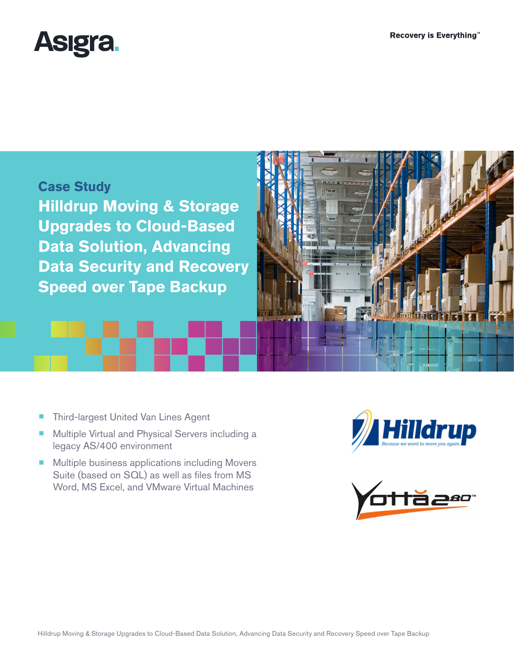



- Third-largest United Van Lines Agent
- Multiple Virtual and Physical Servers including a legacy AS/400 environment
- Multiple business applications including Movers Suite (based on SQL) as well as files from MS Word, MS Excel, and VMware Virtual Machines



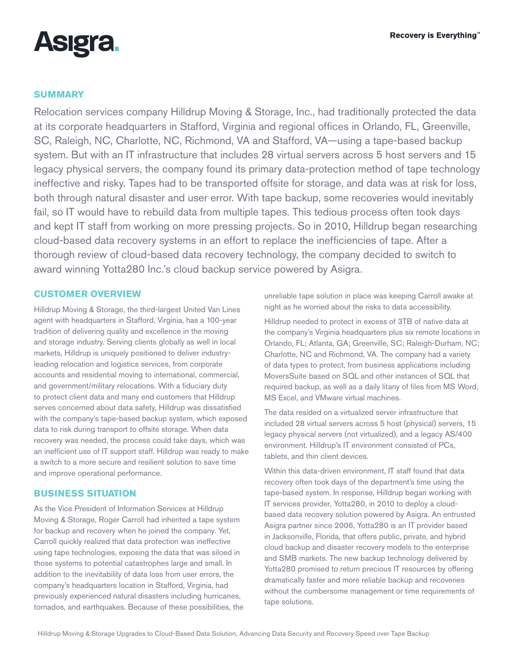

## **SUMMARY**

Relocation services company Hilldrup Moving & Storage, Inc., had traditionally protected the data at its corporate headquarters in Stafford, Virginia and regional offices in Orlando, FL, Greenville, SC, Raleigh, NC, Charlotte, NC, Richmond, VA and Stafford, VA—using a tape-based backup system. But with an IT infrastructure that includes 28 virtual servers across 5 host servers and 15 legacy physical servers, the company found its primary data-protection method of tape technology ineffective and risky. Tapes had to be transported offsite for storage, and data was at risk for loss, both through natural disaster and user error. With tape backup, some recoveries would inevitably fail, so IT would have to rebuild data from multiple tapes. This tedious process often took days and kept IT staff from working on more pressing projects. So in 2010, Hilldrup began researching cloud-based data recovery systems in an effort to replace the inefficiencies of tape. After a thorough review of cloud-based data recovery technology, the company decided to switch to award winning Yotta280 Inc.'s cloud backup service powered by Asigra.

## **CUSTOMER OVERVIEW**

Hilldrup Moving & Storage, the third-largest United Van Lines agent with headquarters in Stafford, Virginia, has a 100-year tradition of delivering quality and excellence in the moving and storage industry. Serving clients globally as well in local markets, Hilldrup is uniquely positioned to deliver industryleading relocation and logistics services, from corporate accounts and residential moving to international, commercial, and government/military relocations. With a fiduciary duty to protect client data and many end customers that Hilldrup serves concerned about data safety, Hilldrup was dissatisfied with the company's tape-based backup system, which exposed data to risk during transport to offsite storage. When data recovery was needed, the process could take days, which was an inefficient use of IT support staff. Hilldrup was ready to make a switch to a more secure and resilient solution to save time and improve operational performance.

## **BUSINESS SITUATION**

As the Vice President of Information Services at Hilldrup Moving & Storage, Roger Carroll had inherited a tape system for backup and recovery when he joined the company. Yet, Carroll quickly realized that data protection was ineffective using tape technologies, exposing the data that was siloed in those systems to potential catastrophes large and small. In addition to the inevitability of data loss from user errors, the company's headquarters location in Stafford, Virginia, had previously experienced natural disasters including hurricanes, tornados, and earthquakes. Because of these possibilities, the unreliable tape solution in place was keeping Carroll awake at night as he worried about the risks to data accessibility.

Hilldrup needed to protect in excess of 3TB of native data at the company's Virginia headquarters plus six remote locations in Orlando, FL; Atlanta, GA; Greenville, SC; Raleigh-Durham, NC; Charlotte, NC and Richmond, VA. The company had a variety of data types to protect, from business applications including MoversSuite based on SQL and other instances of SQL that required backup, as well as a daily litany of files from MS Word, MS Excel, and VMware virtual machines.

The data resided on a virtualized server infrastructure that included 28 virtual servers across 5 host (physical) servers, 15 legacy physical servers (not virtualized), and a legacy AS/400 environment. Hilldrup's IT environment consisted of PCs, tablets, and thin client devices.

Within this data-driven environment, IT staff found that data recovery often took days of the department's time using the tape-based system. In response, Hilldrup began working with IT services provider, Yotta280, in 2010 to deploy a cloudbased data recovery solution powered by Asigra. An entrusted Asigra partner since 2006, Yotta280 is an IT provider based in Jacksonville, Florida, that offers public, private, and hybrid cloud backup and disaster recovery models to the enterprise and SMB markets. The new backup technology delivered by Yotta280 promised to return precious IT resources by offering dramatically faster and more reliable backup and recoveries without the cumbersome management or time requirements of tape solutions.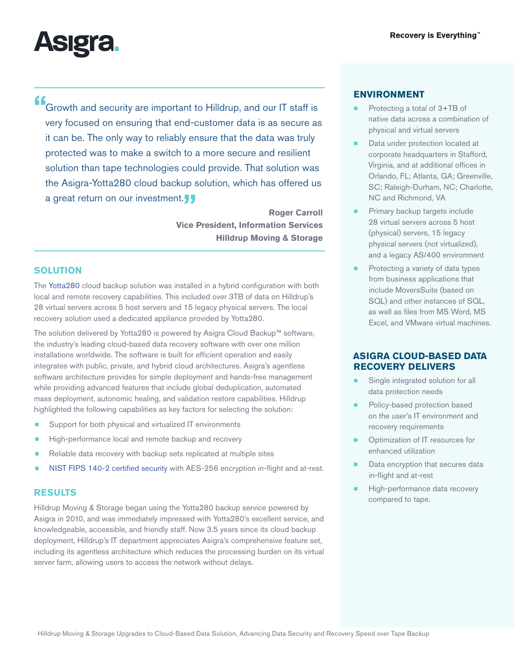

**"**Growth and security are important to Hilldrup, and our IT staff is very focused on ensuring that end-customer data is as secure as it can be. The only way to reliably ensure that the data was truly protected was to make a switch to a more secure and resilient solution than tape technologies could provide. That solution was the Asigra-Yotta280 cloud backup solution, which has offered us a great return on our investment.**"**

> **Roger Carroll Vice President, Information Services Hilldrup Moving & Storage**

## **SOLUTION**

The [Yotta280](http://www.yotta280.com) cloud backup solution was installed in a hybrid configuration with both local and remote recovery capabilities. This included over 3TB of data on Hilldrup's 28 virtual servers across 5 host servers and 15 legacy physical servers. The local recovery solution used a dedicated appliance provided by Yotta280.

The solution delivered by Yotta280 is powered by Asigra Cloud Backup™ software, the industry's leading cloud-based data recovery software with over one million installations worldwide. The software is built for efficient operation and easily integrates with public, private, and hybrid cloud architectures. Asigra's agentless software architecture provides for simple deployment and hands-free management while providing advanced features that include global deduplication, automated mass deployment, autonomic healing, and validation restore capabilities. Hilldrup highlighted the following capabilities as key factors for selecting the solution:

- Support for both physical and virtualized IT environments
- High-performance local and remote backup and recovery
- Reliable data recovery with backup sets replicated at multiple sites
- [NIST FIPS 140-2](http://www.asigra.com/fips-140-2-certification-backup) certified security with AES-256 encryption in-flight and at-rest.

#### **RESULTS**

Hilldrup Moving & Storage began using the Yotta280 backup service powered by Asigra in 2010, and was immediately impressed with Yotta280's excellent service, and knowledgeable, accessible, and friendly staff. Now 3.5 years since its cloud backup deployment, Hilldrup's IT department appreciates Asigra's comprehensive feature set, including its agentless architecture which reduces the processing burden on its virtual server farm, allowing users to access the network without delays.

### **ENVIRONMENT**

- Protecting a total of 3+TB of native data across a combination of physical and virtual servers
- Data under protection located at corporate headquarters in Stafford, Virginia, and at additional offices in Orlando, FL; Atlanta, GA; Greenville, SC; Raleigh-Durham, NC; Charlotte, NC and Richmond, VA
- Primary backup targets include 28 virtual servers across 5 host (physical) servers, 15 legacy physical servers (not virtualized), and a legacy AS/400 environment
- Protecting a variety of data types from business applications that include MoversSuite (based on SQL) and other instances of SQL, as well as files from MS Word, MS Excel, and VMware virtual machines.

# **ASIGRA CLOUD-BASED DATA RECOVERY DELIVERS**

- Single integrated solution for all data protection needs
- Policy-based protection based on the user's IT environment and recovery requirements
- Optimization of IT resources for enhanced utilization
- Data encryption that secures data in-flight and at-rest
- High-performance data recovery compared to tape.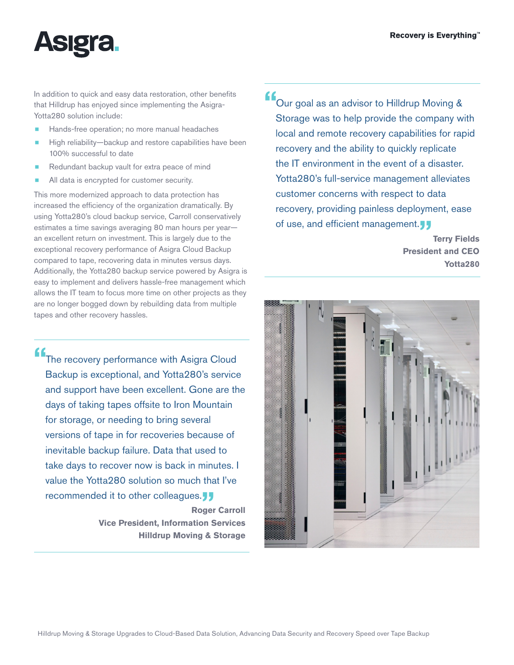

In addition to quick and easy data restoration, other benefits that Hilldrup has enjoyed since implementing the Asigra-Yotta280 solution include:

- Hands-free operation; no more manual headaches
- High reliability-backup and restore capabilities have been 100% successful to date
- Redundant backup vault for extra peace of mind
- All data is encrypted for customer security.

This more modernized approach to data protection has increased the efficiency of the organization dramatically. By using Yotta280's cloud backup service, Carroll conservatively estimates a time savings averaging 80 man hours per year an excellent return on investment. This is largely due to the exceptional recovery performance of Asigra Cloud Backup compared to tape, recovering data in minutes versus days. Additionally, the Yotta280 backup service powered by Asigra is easy to implement and delivers hassle-free management which allows the IT team to focus more time on other projects as they are no longer bogged down by rebuilding data from multiple tapes and other recovery hassles.

**"**The recovery performance with Asigra Cloud Backup is exceptional, and Yotta280's service and support have been excellent. Gone are the days of taking tapes offsite to Iron Mountain for storage, or needing to bring several versions of tape in for recoveries because of inevitable backup failure. Data that used to take days to recover now is back in minutes. I value the Yotta280 solution so much that I've recommended it to other colleagues.<sup>11</sup>

> **Roger Carroll Vice President, Information Services Hilldrup Moving & Storage**

**"**Our goal as an advisor to Hilldrup Moving & Storage was to help provide the company with local and remote recovery capabilities for rapid recovery and the ability to quickly replicate the IT environment in the event of a disaster. Yotta280's full-service management alleviates customer concerns with respect to data recovery, providing painless deployment, ease of use, and efficient management.<sup>1</sup>

> **Terry Fields President and CEO Yotta280**